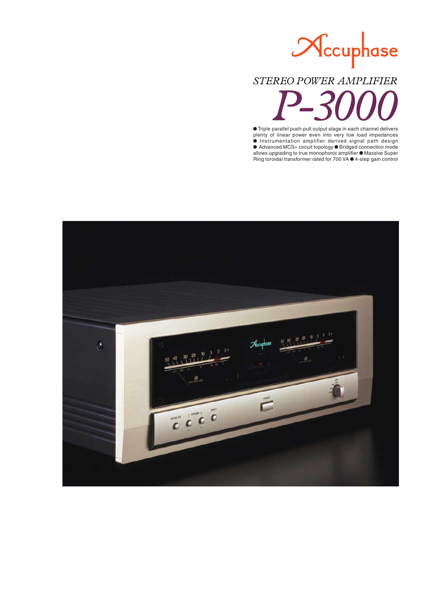# Nccuphase

## STEREO POWER AMPLIFIER

 $\bullet$  Triple parallel push-pull output stage in each channel delivers plenty of linear power even into very low load impedances m Instrumentation amplifier derived signal path design ● Advanced MCS+ circuit topology ● Bridged connection mode allows upgrading to true monophonic amplifier  $\bullet$  Massive Super Ring toroidal transformer rated for 700 VA  $\bullet$  4-step gain control

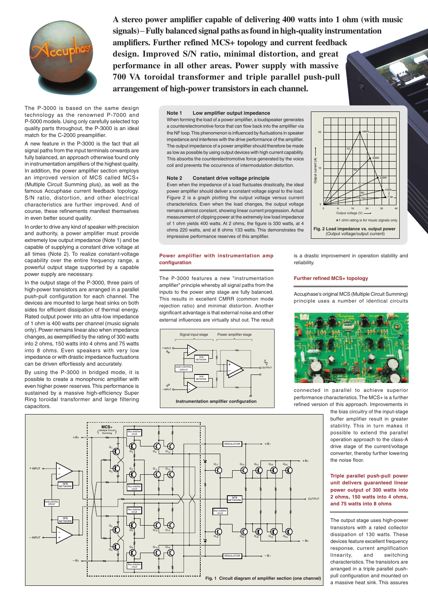

**A stereo power amplifier capable of delivering 400 watts into 1 ohm (with music signals) Fully balanced signal paths as found in high-quality instrumentation amplifiers. Further refined MCS+ topology and current feedback design. Improved S/N ratio, minimal distortion, and great performance in all other areas. Power supply with massive 700 VA toroidal transformer and triple parallel push-pull arrangement of high-power transistors in each channel.**

The P-3000 is based on the same design technology as the renowned P-7000 and P-5000 models. Using only carefully selected top quality parts throughout, the P-3000 is an ideal match for the C-2000 preamplifier.

A new feature in the P-3000 is the fact that all signal paths from the input terminals onwards are fully balanced, an approach otherwise found only in instrumentation amplifiers of the highest quality. In addition, the power amplifier section employs an improved version of MCS called MCS+ (Multiple Circuit Summing plus), as well as the famous Accuphase current feedback topology. S/N ratio, distortion, and other electrical characteristics are further improved. And of course, these refinements manifest themselves in even better sound quality.

In order to drive any kind of speaker with precision and authority, a power amplifier must provide extremely low output impedance (Note 1) and be capable of supplying a constant drive voltage at all times (Note 2). To realize constant-voltage capability over the entire frequency range, a powerful output stage supported by a capable power supply are necessary.

In the output stage of the P-3000, three pairs of high-power transistors are arranged in a parallel push-pull configuration for each channel. The devices are mounted to large heat sinks on both sides for efficient dissipation of thermal energy. Rated output power into an ultra-low impedance of 1 ohm is 400 watts per channel (music signals only). Power remains linear also when impedance changes, as exemplified by the rating of 300 watts into 2 ohms, 150 watts into 4 ohms and 75 watts into 8 ohms. Even speakers with very low impedance or with drastic impedance fluctuations can be driven effortlessly and accurately.

By using the P-3000 in bridged mode, it is possible to create a monophonic amplifier with even higher power reserves. This performance is sustained by a massive high-efficiency Super Ring toroidal transformer and large filtering capacitors.

#### **Note 1 Low amplifier output impedance**

When forming the load of a power amplifier, a loudspeaker generates a counterelectromotive force that can flow back into the amplifier via the NF loop. This phenomenon is influenced by fluctuations in speaker impedance and interferes with the drive performance of the amplifier. The output impedance of a power amplifier should therefore be made as low as possible by using output devices with high current capability. This absorbs the counterelectromotive force generated by the voice coil and prevents the occurrence of intermodulation distortion.

#### **Note 2 Constant drive voltage principle**

Even when the impedance of a load fluctuates drastically, the ideal power amplifier should deliver a constant voltage signal to the load. Figure 2 is a graph plotting the output voltage versus current characteristics. Even when the load changes, the output voltage remains almost constant, showing linear current progression. Actual measurement of clipping power at the extremely low load impedance of 1 ohm yields 400 watts. At 2 ohms, the figure is 330 watts, at 4 ohms 220 watts, and at 8 ohms 133 watts. This demonstrates the impressive performance reserves of this amplifier.

#### **Power amplifier with instrumentation amp configuration**

The P-3000 features a new "instrumentation amplifier" principle whereby all signal paths from the inputs to the power amp stage are fully balanced. This results in excellent CMRR (common mode rejection ratio) and minimal distortion. Another significant advantage is that external noise and other external influences are virtually shut out. The result



is a drastic improvement in operation stability and reliability.

Output voltage (V)

**Fig. 2 Load impedance vs. output power** (Output voltage/output current)

0 8 16 24 32 40

★1 ohm rating is for music signals only.

4Ω 8Ω 16Ω

400W

1Ω

2Ω

330W

220W 133W 71W

#### **Further refined MCS+ topology**

0

10

Output current (A)

**Output** 

 $\widehat{\mathcal{E}}$ 

20

Accuphase's original MCS (Multiple Circuit Summing) principle uses a number of identical circuits



connected in parallel to achieve superior performance characteristics. The MCS+ is a further refined version of this approach. Improvements in

> the bias circuitry of the input-stage buffer amplifier result in greater stability. This in turn makes it possible to extend the parallel operation approach to the class-A drive stage of the current/voltage converter, thereby further lowering the noise floor.

#### **Triple parallel push-pull power unit delivers guaranteed linear power output of 300 watts into 2 ohms, 150 watts into 4 ohms, and 75 watts into 8 ohms**

The output stage uses high-power transistors with a rated collector dissipation of 130 watts. These devices feature excellent frequency response, current amplification linearity, and switching characteristics. The transistors are arranged in a triple parallel pushpull configuration and mounted on a massive heat sink. This assures

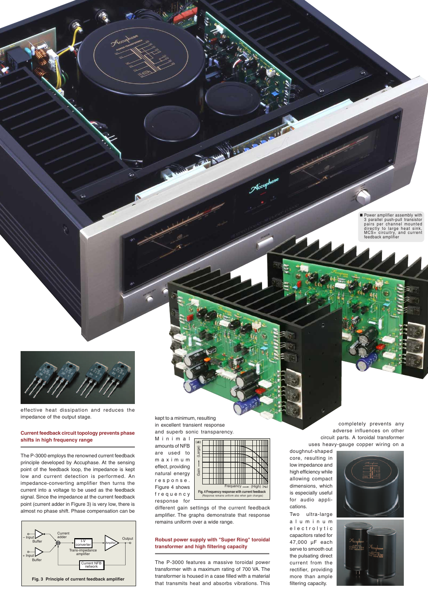

effective heat dissipation and reduces the impedance of the output stage.

#### **Current feedback circuit topology prevents phase shifts in high frequency range**

The P-3000 employs the renowned current feedback principle developed by Accuphase. At the sensing point of the feedback loop, the impedance is kept low and current detection is performed. An impedance-converting amplifier then turns the current into a voltage to be used as the feedback signal. Since the impedance at the current feedback point (current adder in Figure 3) is very low, there is almost no phase shift. Phase compensation can be



kept to a minimum, resulting in excellent transient response and superb sonic transparency.

Minimal amounts of NFB are used to maximum effect, providing natural energy response. Figure 4 shows frequency response for



**Fig. 4 Frequency response with c** (Response remains uniform also when gain changes)

different gain settings of the current feedback amplifier. The graphs demonstrate that response remains uniform over a wide range.

#### **Robust power supply with "Super Ring" toroidal transformer and high filtering capacity**

The P-3000 features a massive toroidal power transformer with a maximum rating of 700 VA. The transformer is housed in a case filled with a material

completely prevents any adverse influences on other circuit parts. A toroidal transformer uses heavy-gauge copper wiring on a

doughnut-shaped core, resulting in low impedance and high efficiency while allowing compact dimensions, which is especially useful for audio applications.

Two ultra-large aluminum electrolytic capacitors rated for 47,000 µF each serve to smooth out the pulsating direct current from the rectifier, providing more than ample filtering capacity.





n Power amplifier assembly with 3 parallel push-pull transistor pairs per channel mounted directly to large heat sink, MCS+ circuitry, and current feedback amplifier